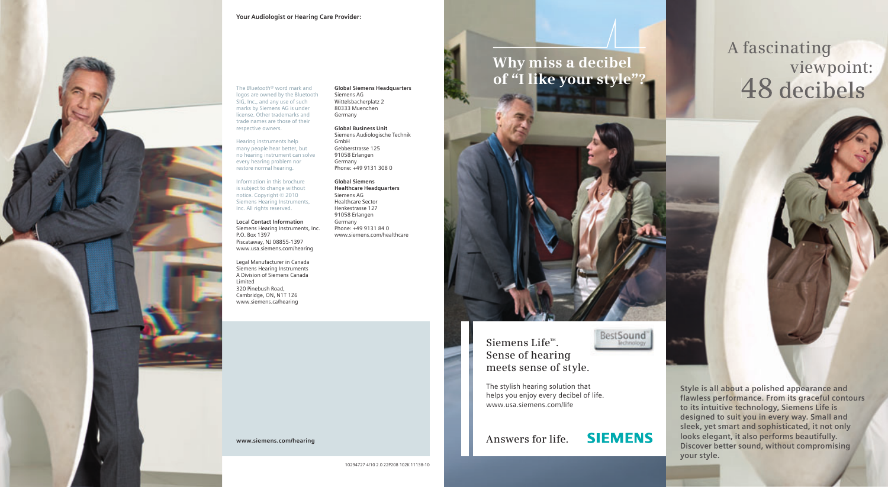#### **Your Audiologist or Hearing Care Provider:**



#### The *Bluetooth*® word mark and logos are owned by the Bluetooth SIG, Inc., and any use of such marks by Siemens AG is under license. Other trademarks and trade names are those of their

Hearing instruments help many people hear better, but no hearing instrument can solve every hearing problem nor restore normal hearing.

respective owners.

Information in this brochure is subject to change without notice. Copyright © 2010 Siemens Hearing Instruments, Inc. All rights reserved.

**Local Contact Information** Siemens Hearing Instruments, Inc. P.O. Box 1397 Piscataway, NJ 08855-1397 www.usa.siemens.com/hearing

Siemens Hearing Instruments A Division of Siemens Canada Limited 320 Pinebush Road, Cambridge, ON, N1T 1Z6 www.siemens.ca/hearing

**Global Siemens Headquarters**

Siemens AG Wittelsbacherplatz 2 80333 Muenchen Germany

> **Global Business Unit** Siemens Audiologische Technik GmbH

Gebberstrasse 125 91058 Erlangen Germany Phone: +49 9131 308 0

**Global Siemens Healthcare Headquarters** Siemens AG Healthcare Sector Henkestrasse 127 91058 Erlangen Germany Phone: +49 9131 84 0 www.siemens.com/healthcare

Legal Manufacturer in Canada

### **Why miss a decibel of "I like your style"?**

#### **Siemens Life™. Sense of hearing meets sense of style.**

BestSound

**SIEMENS** 

The stylish hearing solution that helps you enjoy every decibel of life. www.usa.siemens.com/life

**www.siemens.com/hearing Answers for life.** 

**Style is all about a polished appearance and flawless performance. From its graceful contours to its intuitive technology, Siemens Life is designed to suit you in every way. Small and sleek, yet smart and sophisticated, it not only looks elegant, it also performs beautifully. Discover better sound, without compromising your style.**

# **A fascinating** viewpoint:<br>48 decibels